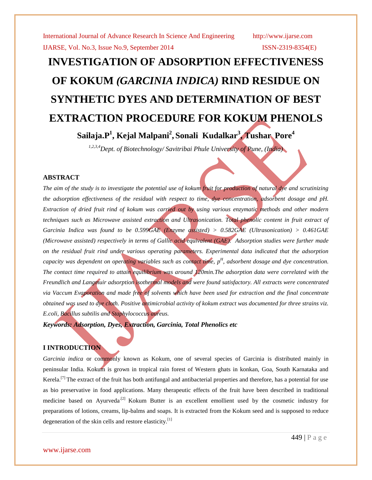# **INVESTIGATION OF ADSORPTION EFFECTIVENESS OF KOKUM** *(GARCINIA INDICA)* **RIND RESIDUE ON SYNTHETIC DYES AND DETERMINATION OF BEST EXTRACTION PROCEDURE FOR KOKUM PHENOLS Sailaja.P<sup>1</sup> , Kejal Malpani<sup>2</sup> , Sonali Kudalkar<sup>3</sup> , Tushar Pore<sup>4</sup>**

*1,2,3,4Dept. of Biotechnology/ Savitribai Phule University of Pune, (India)*

### **ABSTRACT**

*The aim of the study is to investigate the potential use of kokum fruit for production of natural dye and scrutinizing the adsorption effectiveness of the residual with respect to time, dye concentration, adsorbent dosage and pH. Extraction of dried fruit rind of kokum was carried out by using various enzymatic methods and other modern*  techniques such as Microwave assisted extraction and Ultrasonication. Total phenolic content in fruit extract of *Garcinia Indica was found to be 0.599GAE (Enzyme assisted) > 0.582GAE (Ultrasonication) > 0.461GAE (Microwave assisted) respectively in terms of Gallic acid equivalent (GAE). Adsorption studies were further made on the residual fruit rind under various operating parameters. Experimental data indicated that the adsorption capacity was dependent on operating variables such as contact time, p H , adsorbent dosage and dye concentration. The contact time required to attain equilibrium was around 120min.The adsorption data were correlated with the Freundlich and Langmuir adsorption isothermal models and were found satisfactory. All extracts were concentrated via Vaccum Evaporation and made free of solvents which have been used for extraction and the final concentrate obtained was used to dye cloth. Positive antimicrobial activity of kokum extract was documented for three strains viz. E.coli, Bacillus subtilis and Staphylococcus aureus.*

*Keywords: Adsorption, Dyes, Extraction, Garcinia, Total Phenolics etc* 

### **I INTRODUCTION**

*Garcinia indica* or commonly known as Kokum, one of several species of Garcinia is distributed mainly in peninsular India. Kokum is grown in tropical rain forest of Western ghats in konkan, Goa, South Karnataka and Kerela.<sup>[7]</sup> The extract of the fruit has both antifungal and antibacterial properties and therefore, has a potential for use as bio preservative in food applications. Many therapeutic effects of the fruit have been described in traditional medicine based on Ayurveda<sup>.[2]</sup> Kokum Butter is an excellent emollient used by the cosmetic industry for preparations of lotions, creams, lip-balms and soaps. It is extracted from the Kokum seed and is supposed to reduce degeneration of the skin cells and restore elasticity.<sup>[1]</sup>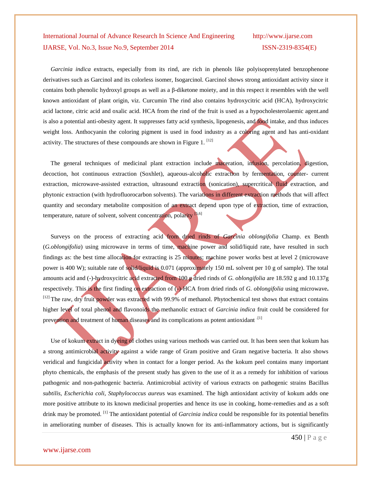*Garcinia indica* extracts, especially from its rind, are rich in phenols like polyisoprenylated benzophenone derivatives such as Garcinol and its colorless isomer, Isogarcinol. Garcinol shows strong antioxidant activity since it contains both phenolic hydroxyl groups as well as a β-diketone moiety, and in this respect it resembles with the well known antioxidant of plant origin, viz. Curcumin The rind also contains hydroxycitric acid (HCA), hydroxycitric acid lactone, citric acid and oxalic acid. HCA from the rind of the fruit is used as a hypocholesterolaemic agent.and is also a potential anti-obesity agent. It suppresses fatty acid synthesis, lipogenesis, and food intake, and thus induces weight loss. Anthocyanin the coloring pigment is used in food industry as a coloring agent and has anti-oxidant activity. The structures of these compounds are shown in Figure 1.  $^{[12]}$ 

The general techniques of medicinal plant extraction include maceration, infusion, percolation, digestion, decoction, hot continuous extraction (Soxhlet), aqueous-alcoholic extraction by fermentation, counter- current extraction, microwave-assisted extraction, ultrasound extraction (sonication), supercritical fluid extraction, and phytonic extraction (with hydrofluorocarbon solvents). The variations in different extraction methods that will affect quantity and secondary metabolite composition of an extract depend upon type of extraction, time of extraction, temperature, nature of solvent, solvent concentration, polarity [5,6]

 Surveys on the process of extracting acid from dried rinds of *Garcinia oblongifolia* Champ. ex Benth (*G.oblongifolia*) using microwave in terms of time, machine power and solid/liquid rate, have resulted in such findings as: the best time allocation for extracting is 25 minutes; machine power works best at level 2 (microwave power is 400 W); suitable rate of solid/liquid is 0.071 (approximately 150 mL solvent per 10 g of sample). The total amounts acid and (-)-hydroxycitric acid extracted from 100 g dried rinds of *G. oblongifolia* are 18.592 g and 10.137g respectively. This is the first finding on extraction of (-)-HCA from dried rinds of *G. oblongifolia* using microwave**.**  <sup>[12]</sup> The raw, dry fruit powder was extracted with 99.9% of methanol. Phytochemical test shows that extract contains higher level of total phenol and flavonoids the methanolic extract of *Garcinia indica* fruit could be considered for prevention and treatment of human diseases and its complications as potent antioxidant <sup>[1]</sup>

 Use of kokum extract in dyeing of clothes using various methods was carried out. It has been seen that kokum has a strong antimicrobial activity against a wide range of Gram positive and Gram negative bacteria. It also shows veridical and fungicidal activity when in contact for a longer period. As the kokum peel contains many important phyto chemicals, the emphasis of the present study has given to the use of it as a remedy for inhibition of various pathogenic and non-pathogenic bacteria. Antimicrobial activity of various extracts on pathogenic strains Bacillus *subtilis, Escherichia coli, Staphylococcus aureu*s was examined. The high antioxidant activity of kokum adds one more positive attribute to its known medicinal properties and hence its use in cooking, home-remedies and as a soft drink may be promoted. [1] The antioxidant potential of *Garcinia indica* could be responsible for its potential benefits in ameliorating number of diseases. This is actually known for its anti-inflammatory actions, but is significantly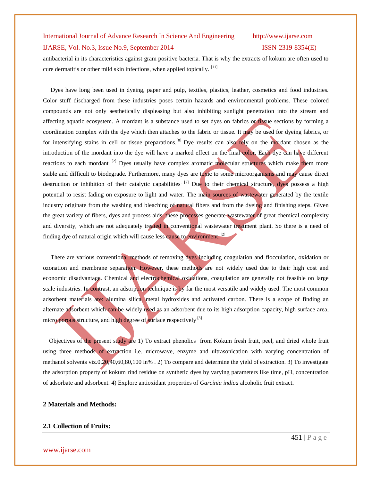antibacterial in its characteristics against gram positive bacteria. That is why the extracts of kokum are often used to cure dermatitis or other mild skin infections, when applied topically. <sup>[11]</sup>

 Dyes have long been used in dyeing, paper and pulp, textiles, plastics, leather, cosmetics and food industries. Color stuff discharged from these industries poses certain hazards and environmental problems. These colored compounds are not only aesthetically displeasing but also inhibiting sunlight penetration into the stream and affecting aquatic ecosystem. A mordant is a substance used to set [dyes](http://en.wikipedia.org/wiki/Dye) on fabrics or tissue sections by forming a [coordination complex](http://en.wikipedia.org/wiki/Coordination_complex) with the dye which then attaches to the fabric or tissue. It may be used for dyeing fabrics, or for intensifying [stains](http://en.wikipedia.org/wiki/Stain) in cell or tissue preparations.<sup>[8]</sup> Dye results can also rely on the mordant chosen as the introduction of the mordant into the dye will have a marked effect on the final color. Each dye can have different reactions to each mordant<sup>[2]</sup> Dyes usually have complex aromatic molecular structures which make them more stable and difficult to biodegrade. Furthermore, many dyes are toxic to some microorganisms and may cause direct destruction or inhibition of their catalytic capabilities<sup>[2]</sup> Due to their chemical structure, dyes possess a high potential to resist fading on exposure to light and water. The main sources of wastewater generated by the textile industry originate from the washing and bleaching of natural fibers and from the dyeing and finishing steps. Given the great variety of fibers, dyes and process aids, these processes generate wastewater of great chemical complexity and diversity, which are not adequately treated in conventional wastewater treatment plant. So there is a need of finding dye of natural origin which will cause less cause to environment.<sup>[2]</sup>

 There are various conventional methods of removing dyes including coagulation and flocculation, oxidation or ozonation and membrane separation. However, these methods are not widely used due to their high cost and economic disadvantage. Chemical and electrochemical oxidations, coagulation are generally not feasible on large scale industries. In contrast, an adsorption technique is by far the most versatile and widely used. The most common adsorbent materials are: alumina silica, metal hydroxides and activated carbon. There is a scope of finding an alternate adsorbent which can be widely used as an adsorbent due to its high adsorption capacity, high surface area, micro porous structure, and high degree of surface respectively.<sup>[3]</sup>

 Objectives of the present study are 1) To extract phenolics from Kokum fresh fruit, peel, and dried whole fruit using three methods of extraction i.e. microwave, enzyme and ultrasonication with varying concentration of methanol solvents viz.0,20,40,60,80,100 in% . 2) To compare and determine the yield of extraction. 3) To investigate the adsorption property of kokum rind residue on synthetic dyes by varying parameters like time, pH, concentration of adsorbate and adsorbent. 4) Explore antioxidant properties of *Garcinia indica* alcoholic fruit extract**.**

#### **2 Materials and Methods:**

### **2.1 Collection of Fruits:**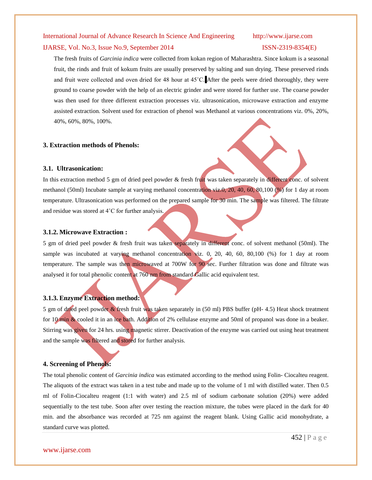#### IJARSE, Vol. No.3, Issue No.9, September 2014 ISSN-2319-8354(E)

The fresh fruits of *Garcinia indica* were collected from kokan region of Maharashtra. Since kokum is a seasonal fruit, the rinds and fruit of kokum fruits are usually preserved by salting and sun drying. These preserved rinds and fruit were collected and oven dried for 48 hour at 45˚C. After the peels were dried thoroughly, they were ground to coarse powder with the help of an electric grinder and were stored for further use. The coarse powder was then used for three different extraction processes viz. ultrasonication, microwave extraction and enzyme assisted extraction. Solvent used for extraction of phenol was Methanol at various concentrations viz. 0%, 20%, 40%, 60%, 80%, 100%.

#### **3. Extraction methods of Phenols:**

#### **3.1. Ultrasonication:**

In this extraction method 5 gm of dried peel powder & fresh fruit was taken separately in different conc. of solvent methanol (50ml) Incubate sample at varying methanol concentration viz.0, 20, 40, 60, 80,100 (%) for 1 day at room temperature. Ultrasonication was performed on the prepared sample for 30 min. The sample was filtered. The filtrate and residue was stored at 4˚C for further analysis.

#### **3.1.2. Microwave Extraction :**

5 gm of dried peel powder & fresh fruit was taken separately in different conc. of solvent methanol (50ml). The sample was incubated at varying methanol concentration viz. 0, 20, 40, 60, 80,100 (%) for 1 day at room temperature. The sample was then microwaved at 700W for 90 sec. Further filtration was done and filtrate was analysed it for total phenolic content at 760 nm from standard Gallic acid equivalent test.

#### **3.1.3. Enzyme Extraction method:**

5 gm of dried peel powder & fresh fruit was taken separately in (50 ml) PBS buffer (pH- 4.5) Heat shock treatment for 10 min & cooled it in an ice bath. Addition of 2% cellulase enzyme and 50ml of propanol was done in a beaker. Stirring was given for 24 hrs. using magnetic stirrer. Deactivation of the enzyme was carried out using heat treatment and the sample was filtered and stored for further analysis.

#### **4. Screening of Phenols:**

The total phenolic content of *Garcinia indica* was estimated according to the method using Folin- Ciocalteu reagent. The aliquots of the extract was taken in a test tube and made up to the volume of 1 ml with distilled water. Then 0.5 ml of Folin-Ciocalteu reagent (1:1 with water) and 2.5 ml of sodium carbonate solution (20%) were added sequentially to the test tube. Soon after over testing the reaction mixture, the tubes were placed in the dark for 40 min. and the absorbance was recorded at 725 nm against the reagent blank. Using Gallic acid monohydrate, a standard curve was plotted.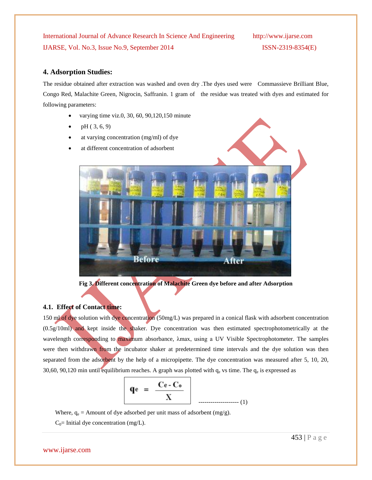### **4. Adsorption Studies:**

The residue obtained after extraction was washed and oven dry .The dyes used were Commassieve Brilliant Blue, Congo Red, Malachite Green, Nigrocin, Saffranin. 1 gram of the residue was treated with dyes and estimated for following parameters:

- varying time viz.0, 30, 60, 90,120,150 minute
- pH ( 3, 6, 9)
- at varying concentration (mg/ml) of dye
- 



**Fig 3. Different concentration of Malachite Green dye before and after Adsorption**

### **4.1. Effect of Contact time:**

150 ml of dye solution with dye concentration (50mg/L) was prepared in a conical flask with adsorbent concentration (0.5g/10ml) and kept inside the shaker. Dye concentration was then estimated spectrophotometrically at the wavelength corresponding to maximum absorbance, λmax, using a UV Visible Spectrophotometer. The samples were then withdrawn from the incubator shaker at predetermined time intervals and the dye solution was then separated from the adsorbent by the help of a micropipette. The dye concentration was measured after 5, 10, 20, 30,60, 90,120 min until equilibrium reaches. A graph was plotted with  $q_e$  vs time. The  $q_e$  is expressed as

$$
\mathbf{q}e = \frac{\mathbf{C}e - \mathbf{C}_0}{X} \tag{1}
$$

Where,  $q_e$  = Amount of dye adsorbed per unit mass of adsorbent (mg/g).

 $C_0$ = Initial dye concentration (mg/L).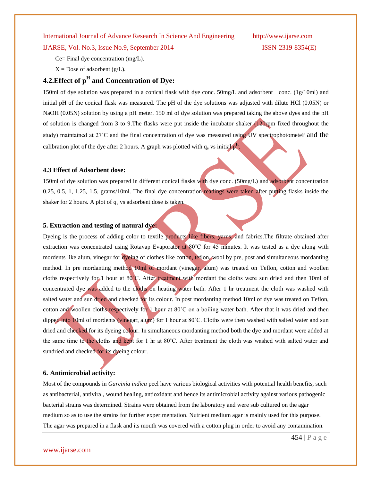IJARSE, Vol. No.3, Issue No.9, September 2014 ISSN-2319-8354(E)

Ce= Final dye concentration (mg/L).

 $X =$  Dose of adsorbent (g/L).

# **4.2.Effect of p<sup>H</sup> and Concentration of Dye:**

150ml of dye solution was prepared in a conical flask with dye conc. 50mg/L and adsorbent conc. (1g/10ml) and initial pH of the conical flask was measured. The pH of the dye solutions was adjusted with dilute HCl (0.05N) or NaOH (0.05N) solution by using a pH meter. 150 ml of dye solution was prepared taking the above dyes and the pH of solution is changed from 3 to 9.The flasks were put inside the incubator shaker (120rpm fixed throughout the study) maintained at 27˚C and the final concentration of dye was measured using UV spectrophotometer and the calibration plot of the dye after 2 hours. A graph was plotted with  $q_e$  vs initial  $p^H$ .

#### **4.3 Effect of Adsorbent dose:**

150ml of dye solution was prepared in different conical flasks with dye conc. (50mg/L) and adsorbent concentration 0.25, 0.5, 1, 1.25, 1.5, grams/10ml. The final dye concentration readings were taken after putting flasks inside the shaker for 2 hours. A plot of  $q_e$  vs adsorbent dose is taken.

#### **5. Extraction and testing of natural dye:**

Dyeing is the process of adding color to [textile](http://en.wikipedia.org/wiki/Textile) products like [fibers,](http://en.wikipedia.org/wiki/Fibre) [yarns,](http://en.wikipedia.org/wiki/Yarn) and [fabrics.](http://en.wikipedia.org/wiki/Fabric) The filtrate obtained after extraction was concentrated using Rotavap Evaporator at 80°C for 45 minutes. It was tested as a dye along with mordents like alum, vinegar for dyeing of clothes like cotton, teflon, wool by pre, post and simultaneous mordanting method. In pre mordanting method 10ml of mordant (vinegar, alum) was treated on Teflon, cotton and woollen cloths respectively for 1 hour at 80˚C. After treatment with mordant the cloths were sun dried and then 10ml of concentrated dye was added to the cloths on heating water bath. After 1 hr treatment the cloth was washed with salted water and sun dried and checked for its colour. In post mordanting method 10ml of dye was treated on Teflon, cotton and woollen cloths respectively for 1 hour at 80°C on a boiling water bath. After that it was dried and then dipped into 10ml of mordents (vinegar, alum) for 1 hour at 80˚C. Cloths were then washed with salted water and sun dried and checked for its dyeing colour. In simultaneous mordanting method both the dye and mordant were added at the same time to the cloths and kept for 1 hr at 80˚C. After treatment the cloth was washed with salted water and sundried and checked for its dyeing colour.

#### **6. Antimicrobial activity:**

Most of the compounds in *Garcinia indica* peel have various biological activities with potential health benefits, such as antibacterial, antiviral, wound healing, antioxidant and hence its antimicrobial activity against various pathogenic bacterial strains was determined. Strains were obtained from the laboratory and were sub cultured on the agar medium so as to use the strains for further experimentation. Nutrient medium agar is mainly used for this purpose. The agar was prepared in a flask and its mouth was covered with a cotton plug in order to avoid any contamination.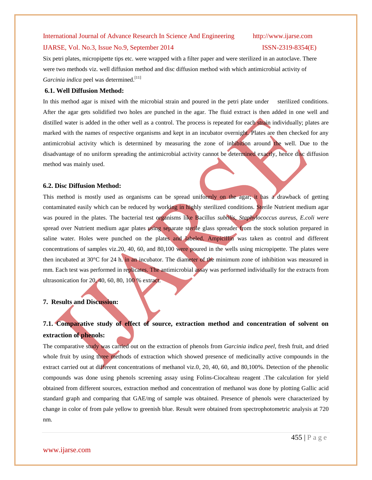#### IJARSE, Vol. No.3, Issue No.9, September 2014 ISSN-2319-8354(E)

Six petri plates, micropipette tips etc. were wrapped with a filter paper and were sterilized in an autoclave. There were two methods viz. well diffusion method and disc diffusion method with which antimicrobial activity of Garcinia indica peel was determined.<sup>[11]</sup>

### **6.1. Well Diffusion Method:**

In this method agar is mixed with the microbial strain and poured in the petri plate under sterilized conditions. After the agar gets solidified two holes are punched in the agar. The fluid extract is then added in one well and distilled water is added in the other well as a control. The process is repeated for each strain individually; plates are marked with the names of respective organisms and kept in an incubator overnight. Plates are then checked for any antimicrobial activity which is determined by measuring the zone of inhibition around the well. Due to the disadvantage of no uniform spreading the antimicrobial activity cannot be determined exactly, hence disc diffusion method was mainly used.

#### **6.2. Disc Diffusion Method:**

This method is mostly used as organisms can be spread uniformly on the agar; it has a drawback of getting contaminated easily which can be reduced by working in highly sterilized conditions. Sterile Nutrient medium agar was poured in the plates. The bacterial test organisms like Bacillus *subtilis*, *Staphylococcus aureus, E.coli were* spread over Nutrient medium agar plates using separate sterile glass spreader from the stock solution prepared in saline water. Holes were punched on the plates and labeled. Ampicillin was taken as control and different concentrations of samples viz.20, 40, 60, and 80,100 were poured in the wells using micropipette. The plates were then incubated at 30°C for 24 h. in an incubator. The diameter of the minimum zone of inhibition was measured in mm. Each test was performed in replicates. The antimicrobial assay was performed individually for the extracts from ultrasonication for 20, 40, 60, 80, 100 % extract.

#### **7. Results and Discussion:**

# **7.1. Comparative study of effect of source, extraction method and concentration of solvent on extraction of phenols:**

The comparative study was carried out on the extraction of phenols from *Garcinia indica peel*, fresh fruit, and dried whole fruit by using three methods of extraction which showed presence of medicinally active compounds in the extract carried out at different concentrations of methanol viz.0, 20, 40, 60, and 80,100%. Detection of the phenolic compounds was done using phenols screening assay using Folins-Ciocalteau reagent .The calculation for yield obtained from different sources, extraction method and concentration of methanol was done by plotting Gallic acid standard graph and comparing that GAE/mg of sample was obtained. Presence of phenols were characterized by change in color of from pale yellow to greenish blue. Result were obtained from spectrophotometric analysis at 720 nm.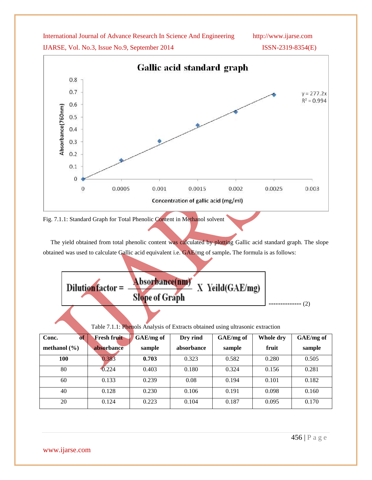IJARSE, Vol. No.3, Issue No.9, September 2014 ISSN-2319-8354(E)



Fig. 7.1.1: Standard Graph for Total Phenolic Content in Methanol solvent

The yield obtained from total phenolic content was calculated by plotting Gallic acid standard graph. The slope obtained was used to calculate Gallic acid equivalent i.e. GAE/mg of sample**.** The formula is as follows:

| Dilution factor = | Absorbance(nm) X Yeild(GAE/mg)<br><b>Slope of Graph</b> |  |
|-------------------|---------------------------------------------------------|--|
|                   |                                                         |  |

Table 7.1.1: Phenols Analysis of Extracts obtained using ultrasonic extraction

| of<br>Conc.      | <b>Fresh fruit</b> | GAE/mg of | Dry rind   | GAE/mg of | Whole dry | GAE/mg of |
|------------------|--------------------|-----------|------------|-----------|-----------|-----------|
| methanol $(\% )$ | absorbance         | sample    | absorbance | sample    | fruit     | sample    |
| 100              | 0.383              | 0.703     | 0.323      | 0.582     | 0.280     | 0.505     |
| 80               | 0.224              | 0.403     | 0.180      | 0.324     | 0.156     | 0.281     |
| 60               | 0.133              | 0.239     | 0.08       | 0.194     | 0.101     | 0.182     |
| 40               | 0.128              | 0.230     | 0.106      | 0.191     | 0.098     | 0.160     |
| 20               | 0.124              | 0.223     | 0.104      | 0.187     | 0.095     | 0.170     |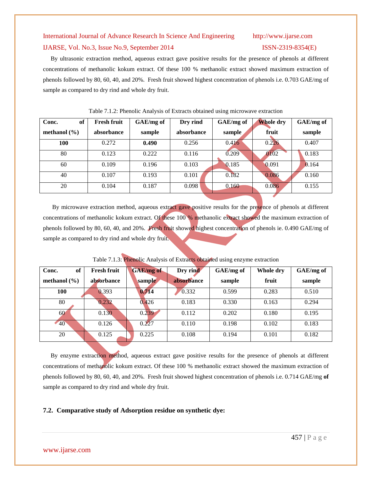By ultrasonic extraction method, aqueous extract gave positive results for the presence of phenols at different concentrations of methanolic kokum extract. Of these 100 % methanolic extract showed maximum extraction of phenols followed by 80, 60, 40, and 20%. Fresh fruit showed highest concentration of phenols i.e. 0.703 GAE/mg of sample as compared to dry rind and whole dry fruit.

| of<br>Conc.      | <b>Fresh fruit</b> | GAE/mg of | Dry rind   | GAE/mg of | <b>Whole dry</b> | GAE/mg of |
|------------------|--------------------|-----------|------------|-----------|------------------|-----------|
| methanol $(\% )$ | absorbance         | sample    | absorbance | sample    | fruit            | sample    |
| <b>100</b>       | 0.272              | 0.490     | 0.256      | 0.416     | 0.226            | 0.407     |
| 80               | 0.123              | 0.222     | 0.116      | 0.209     | 0102             | 0.183     |
| 60               | 0.109              | 0.196     | 0.103      | 0.185     | 0.091            | 0.164     |
| 40               | 0.107              | 0.193     | 0.101      | 0.182     | 0.086            | 0.160     |
| 20               | 0.104              | 0.187     | 0.098      | 0.160     | 0.086            | 0.155     |

#### Table 7.1.2: Phenolic Analysis of Extracts obtained using microwave extraction

 By microwave extraction method, aqueous extract gave positive results for the presence of phenols at different concentrations of methanolic kokum extract. Of these 100 % methanolic extract showed the maximum extraction of phenols followed by 80, 60, 40, and 20%. Fresh fruit showed highest concentration of phenols ie. 0.490 GAE/mg of sample as compared to dry rind and whole dry fruit.

| of<br>Conc.      | <b>Fresh fruit</b> | <b>GAE/mg</b> of | Dry rind   | GAE/mg of | Whole dry | GAE/mg of |
|------------------|--------------------|------------------|------------|-----------|-----------|-----------|
| methanol $(\% )$ | absorbance         | sample           | absorbance | sample    | fruit     | sample    |
| <b>100</b>       | 0.393              | 0.714            | 0.332      | 0.599     | 0.283     | 0.510     |
| 80               | 0.232              | 0.426            | 0.183      | 0.330     | 0.163     | 0.294     |
| 60               | 0.130              | 0.239            | 0.112      | 0.202     | 0.180     | 0.195     |
| $-40$            | 0.126              | 0.227            | 0.110      | 0.198     | 0.102     | 0.183     |
| 20               | 0.125              | 0.225            | 0.108      | 0.194     | 0.101     | 0.182     |
|                  |                    |                  |            |           |           |           |

Table 7.1.3: Phenolic Analysis of Extracts obtained using enzyme extraction

By enzyme extraction method, aqueous extract gave positive results for the presence of phenols at different concentrations of methanolic kokum extract. Of these 100 % methanolic extract showed the maximum extraction of phenols followed by 80, 60, 40, and 20%. Fresh fruit showed highest concentration of phenols i.e. 0.714 GAE/mg **of**  sample as compared to dry rind and whole dry fruit.

### **7.2. Comparative study of Adsorption residue on synthetic dye:**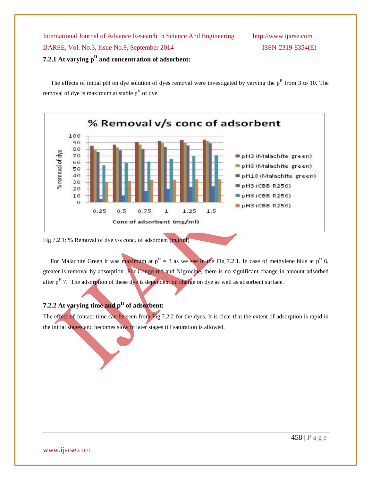The effects of initial pH on dye solution of dyes removal were investigated by varying the  $p<sup>H</sup>$  from 3 to 10. The removal of dye is maximum at stable  $p<sup>H</sup>$  of dye.



Fig 7.2.1: % Removal of dye v/s conc. of adsorbent (mg/ml)

For Malachite Green it was maximum at  $p<sup>H</sup> = 3$  as we see in the Fig 7.2.1. In case of methylene blue at  $p<sup>H</sup>$  6, greater is removal by adsorption .For Congo red and Nigrocine, there is no significant change in amount adsorbed after  $p<sup>H</sup>$  7. The adsorption of these dye is dependent on charge on dye as well as adsorbent surface.

## **7.2.2 At varying time and p<sup>H</sup> of adsorbent:**

The effect of contact time can be seen from Fig.7.2.2 for the dyes. It is clear that the extent of adsorption is rapid in the initial stages and becomes slow in later stages till saturation is allowed.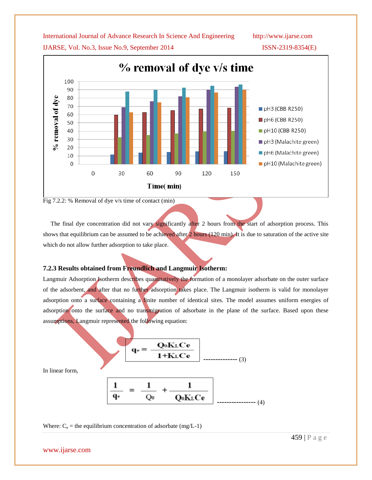% removal of dye v/s time 100 90 80 % removal of dye 70 pH3 (CBB R250) 60 pH6 (CBB R250) 50 pH10 (CBB R250) 40 30 pH3 (Malachite green) 20 pH6 (Malachite green) 10  $\overline{0}$ pH10 (Malachite green)  $\overline{0}$ 30 60 90 120 150 Time(min)

IJARSE, Vol. No.3, Issue No.9, September 2014 ISSN-2319-8354(E)

Fig 7.2.2: % Removal of dye v/s time of contact (min)

The final dye concentration did not vary significantly after 2 hours from the start of adsorption process. This shows that equilibrium can be assumed to be achieved after  $2$  hours ( $120 \text{ min}$ ). It is due to saturation of the active site which do not allow further adsorption to take place.

#### **7.2.3 Results obtained from Freundlich and Langmuir Isotherm:**

Langmuir Adsorption Isotherm describes quantitatively the formation of a monolayer adsorbate on the outer surface of the adsorbent, and after that no further adsorption takes place. The Langmuir isotherm is valid for monolayer adsorption onto a surface containing a finite number of identical sites. The model assumes uniform energies of adsorption onto the surface and no transmigration of adsorbate in the plane of the surface. Based upon these assumptions, Langmuir represented the following equation:

$$
\mathbf{q}_{e} = \frac{\mathbf{Q}_{0}\mathbf{K}_{L}\mathbf{C}\mathbf{e}}{\mathbf{1}+\mathbf{K}_{L}\mathbf{C}\mathbf{e}}
$$
 (3)

In linear form,

$$
\frac{1}{q_e} = \frac{1}{Q_0} + \frac{1}{Q_0 K_L C e}
$$
 (4)

Where:  $C_e$  = the equilibrium concentration of adsorbate (mg/L-1)

$$
1+KLCe
$$
 1, 3  
\n
$$
\boxed{1} = \boxed{1} + \boxed{1}
$$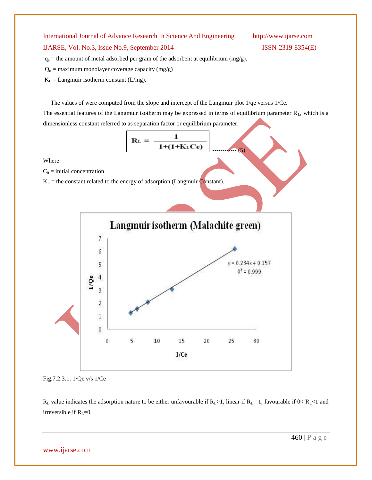### IJARSE, Vol. No.3, Issue No.9, September 2014 ISSN-2319-8354(E)

 $q_e$  = the amount of metal adsorbed per gram of the adsorbent at equilibrium (mg/g).

- $Q_0$  = maximum monolayer coverage capacity (mg/g)
- $K_L$  = Langmuir isotherm constant (L/mg).

 The values of were computed from the slope and intercept of the Langmuir plot 1/qe versus 1/Ce. The essential features of the Langmuir isotherm may be expressed in terms of equilibrium parameter  $R_L$ , which is a dimensionless constant referred to as separation factor or equilibrium parameter.

$$
R_{L} = \frac{1}{1+(1+K_{L}Ce)}
$$
 (5)

Where:

 $C_0$  = initial concentration

 $K_L$  = the constant related to the energy of adsorption (Langmuir Constant).



Fig.7.2.3.1: 1/Qe v/s 1/Ce

 $R_L$  value indicates the adsorption nature to be either unfavourable if  $R_L>1$ , linear if  $R_L=1$ , favourable if  $0 < R_L < 1$  and irreversible if  $R_L=0$ .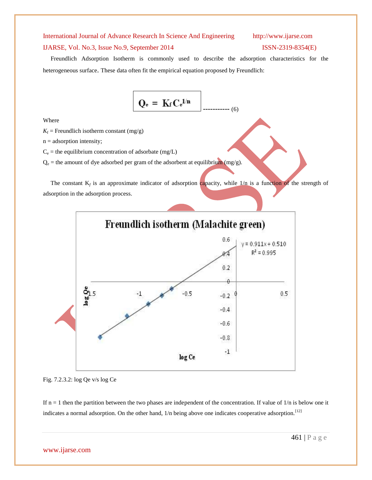#### IJARSE, Vol. No.3, Issue No.9, September 2014 ISSN-2319-8354(E)

 Freundlich Adsorption Isotherm is commonly used to describe the adsorption characteristics for the heterogeneous surface. These data often fit the empirical equation proposed by Freundlich:

$$
Q_e = K_f C_e^{1/n}
$$
........(6)

Where

 $K_f$  = Freundlich isotherm constant (mg/g)

 $n =$  adsorption intensity;

 $C_e$  = the equilibrium concentration of adsorbate (mg/L)

 $Q_e$  = the amount of dye adsorbed per gram of the adsorbent at equilibrium (mg/g).

The constant  $K_f$  is an approximate indicator of adsorption capacity, while  $1/n$  is a function of the strength of adsorption in the adsorption process.



Fig. 7.2.3.2: log Qe v/s log Ce

If  $n = 1$  then the partition between the two phases are independent of the concentration. If value of  $1/n$  is below one it indicates a normal adsorption. On the other hand, 1/n being above one indicates cooperative adsorption.<sup>[12]</sup>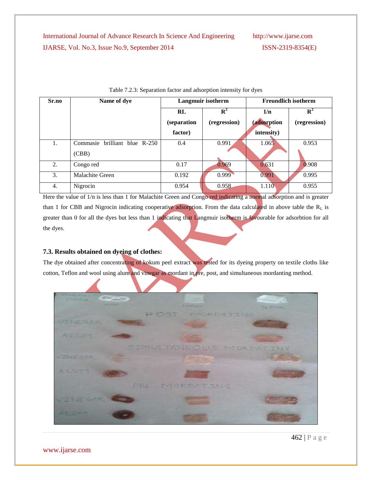**Sr.no Name of dye Langmuir isotherm Freundlich isotherm RL (separation factor)**   ${\bf R}^2$ **(regression) 1/n (adsorption intensity)**  ${\bf R}^2$ **(regression)** 1. Commasie brilliant blue R-250 (CBB) 0.4 0.991 1.065 0.953 2. Congo red 1 0.17 0.969 0.631 0.908 3. Malachite Green 0.192 0.999 0.991 0.995 4. Nigrocin 1.110 0.955 0.958 1.110 0.955

Here the value of  $1/n$  is less than 1 for Malachite Green and Congo red indicating a normal adsorption and is greater than 1 for CBB and Nigrocin indicating cooperative adsorption. From the data calculated in above table the  $R_L$  is greater than 0 for all the dyes but less than 1 indicating that Langmuir isotherm is favourable for adsorbtion for all the dyes.

### **7.3. Results obtained on dyeing of clothes:**

The dye obtained after concentrating of kokum peel extract was tested for its dyeing property on textile cloths like cotton, Teflon and wool using alum and vinegar as mordant in pre, post, and simultaneous mordanting method.



### Table 7.2.3: Separation factor and adsorption intensity for dyes

462 | P a g e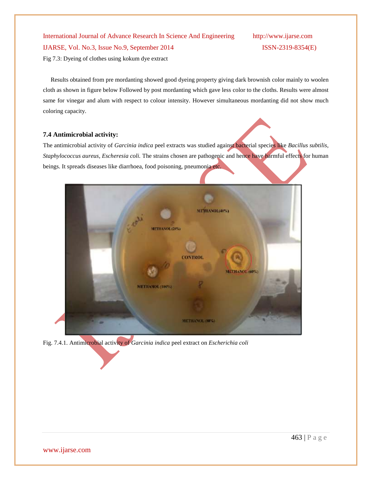International Journal of Advance Research In Science And Engineering http://www.ijarse.com IJARSE, Vol. No.3, Issue No.9, September 2014 ISSN-2319-8354(E) Fig 7.3: Dyeing of clothes using kokum dye extract

 Results obtained from pre mordanting showed good dyeing property giving dark brownish color mainly to woolen cloth as shown in figure below Followed by post mordanting which gave less color to the cloths. Results were almost same for vinegar and alum with respect to colour intensity. However simultaneous mordanting did not show much coloring capacity.

### **7.4 Antimicrobial activity:**

The antimicrobial activity of *Garcinia indica* peel extracts was studied against bacterial species like *Bacillus subtilis*, *Staphylococcus aureus, Escheresia coli.* The strains chosen are pathogenic and hence have harmful effects for human beings. It spreads diseases like diarrhoea, food poisoning, pneumonia etc.



Fig. 7.4.1. Antimicrobial activity of *Garcinia indica* peel extract on *Escherichia coli*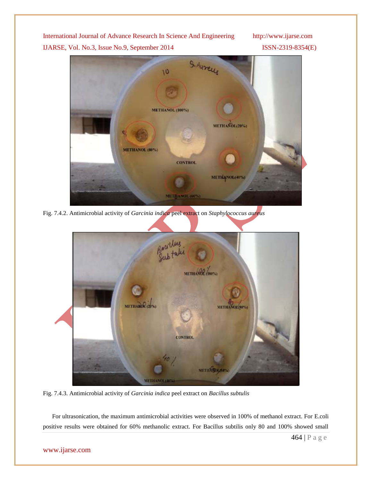S. Aurelle  $10$ **METHANOL (100%)** METHANOL(20%) METHANOL (80%) **CONTROL** METHANOL(40%) MITTEANOL (M26)

Fig. 7.4.2. Antimicrobial activity of *Garcinia indica* peel extract on *Staphylococcus aureus*



Fig. 7.4.3. Antimicrobial activity of *Garcinia indica* peel extract on *Bacillus subtulis*

 For ultrasonication, the maximum antimicrobial activities were observed in 100% of methanol extract. For E.coli positive results were obtained for 60% methanolic extract. For Bacillus subtilis only 80 and 100% showed small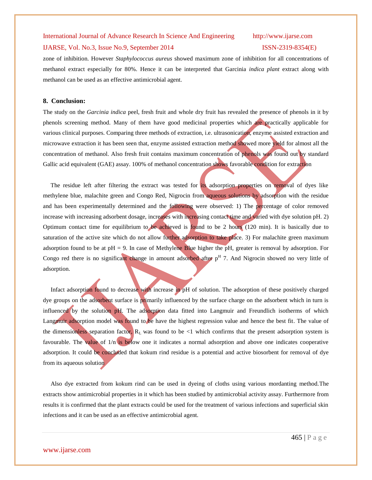#### IJARSE, Vol. No.3, Issue No.9, September 2014 ISSN-2319-8354(E)

zone of inhibition. However *Staphylococcus aureus* showed maximum zone of inhibition for all concentrations of methanol extract especially for 80%. Hence it can be interpreted that Garcinia *indica plant* extract along with methanol can be used as an effective antimicrobial agent.

#### **8. Conclusion:**

The study on the *Garcinia indica* peel, fresh fruit and whole dry fruit has revealed the presence of phenols in it by phenols screening method. Many of them have good medicinal properties which are practically applicable for various clinical purposes. Comparing three methods of extraction, i.e. ultrasonication, enzyme assisted extraction and microwave extraction it has been seen that, enzyme assisted extraction method showed more yield for almost all the concentration of methanol. Also fresh fruit contains maximum concentration of phenols was found out by standard Gallic acid equivalent (GAE) assay. 100% of methanol concentration shows favorable condition for extraction

 The residue left after filtering the extract was tested for its adsorption properties on removal of dyes like methylene blue, malachite green and Congo Red, Nigrocin from aqueous solutions by adsorption with the residue and has been experimentally determined and the following were observed: 1) The percentage of color removed increase with increasing adsorbent dosage, increases with increasing contact time and varied with dye solution pH. 2) Optimum contact time for equilibrium to be achieved is found to be 2 hours (120 min). It is basically due to saturation of the active site which do not allow further adsorption to take place. 3) For malachite green maximum adsorption found to be at  $pH = 9$ . In case of Methylene Blue higher the pH, greater is removal by adsorption. For Congo red there is no significant change in amount adsorbed after  $p<sup>H</sup>$  7. And Nigrocin showed no very little of adsorption.

 Infact adsorption found to decrease with increase in pH of solution. The adsorption of these positively charged dye groups on the adsorbent surface is primarily influenced by the surface charge on the adsorbent which in turn is influenced by the solution pH. The adsorption data fitted into Langmuir and Freundlich isotherms of which Langmuir adsorption model was found to be have the highest regression value and hence the best fit. The value of the dimensionless separation factor,  $R_L$  was found to be <1 which confirms that the present adsorption system is favourable. The value of 1/n is below one it indicates a normal adsorption and above one indicates cooperative adsorption. It could be concluded that kokum rind residue is a potential and active biosorbent for removal of dye from its aqueous solution

 Also dye extracted from kokum rind can be used in dyeing of cloths using various mordanting method.The extracts show antimicrobial properties in it which has been studied by antimicrobial activity assay. Furthermore from results it is confirmed that the plant extracts could be used for the treatment of various infections and superficial skin infections and it can be used as an effective antimicrobial agent.